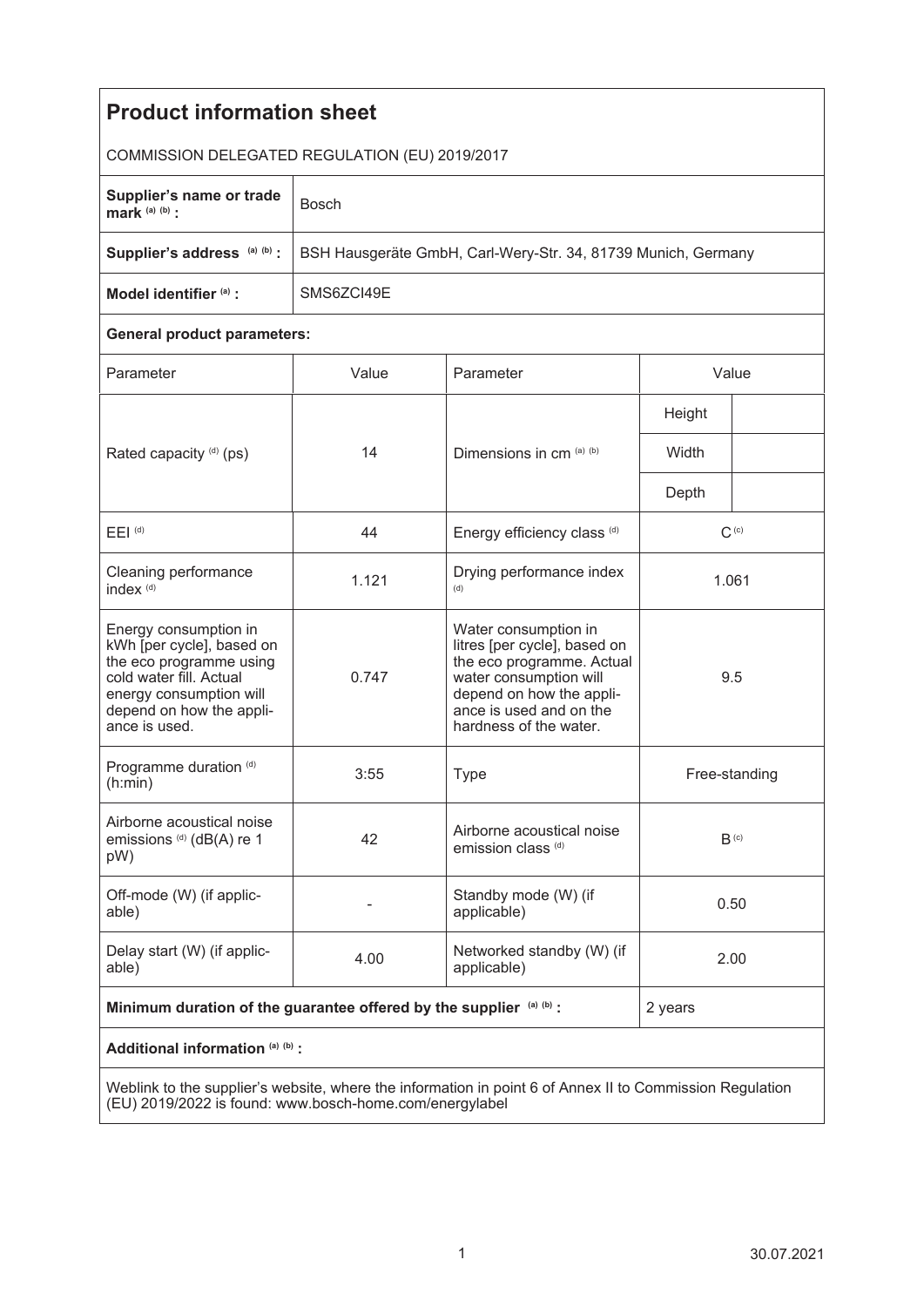| <b>Product information sheet</b>                                                                                                                                                 |                                                               |                                                                                                                                                                                              |                  |  |
|----------------------------------------------------------------------------------------------------------------------------------------------------------------------------------|---------------------------------------------------------------|----------------------------------------------------------------------------------------------------------------------------------------------------------------------------------------------|------------------|--|
| COMMISSION DELEGATED REGULATION (EU) 2019/2017                                                                                                                                   |                                                               |                                                                                                                                                                                              |                  |  |
| Supplier's name or trade<br>mark $(a)$ $(b)$ :                                                                                                                                   | <b>Bosch</b>                                                  |                                                                                                                                                                                              |                  |  |
| Supplier's address (a) (b) :                                                                                                                                                     | BSH Hausgeräte GmbH, Carl-Wery-Str. 34, 81739 Munich, Germany |                                                                                                                                                                                              |                  |  |
| Model identifier (a) :                                                                                                                                                           | SMS6ZCI49E                                                    |                                                                                                                                                                                              |                  |  |
| <b>General product parameters:</b>                                                                                                                                               |                                                               |                                                                                                                                                                                              |                  |  |
| Parameter                                                                                                                                                                        | Value                                                         | Parameter                                                                                                                                                                                    | Value            |  |
| Rated capacity (d) (ps)                                                                                                                                                          | 14                                                            | Dimensions in cm (a) (b)                                                                                                                                                                     | Height           |  |
|                                                                                                                                                                                  |                                                               |                                                                                                                                                                                              | Width            |  |
|                                                                                                                                                                                  |                                                               |                                                                                                                                                                                              | Depth            |  |
| $E EI$ <sup>(d)</sup>                                                                                                                                                            | 44                                                            | Energy efficiency class (d)                                                                                                                                                                  | $C^{(c)}$        |  |
| Cleaning performance<br>index <sup>(d)</sup>                                                                                                                                     | 1.121                                                         | Drying performance index<br>(d)                                                                                                                                                              | 1.061            |  |
| Energy consumption in<br>kWh [per cycle], based on<br>the eco programme using<br>cold water fill. Actual<br>energy consumption will<br>depend on how the appli-<br>ance is used. | 0.747                                                         | Water consumption in<br>litres [per cycle], based on<br>the eco programme. Actual<br>water consumption will<br>depend on how the appli-<br>ance is used and on the<br>hardness of the water. | 9.5              |  |
| Programme duration (d)<br>(h:min)                                                                                                                                                | 3:55                                                          | <b>Type</b>                                                                                                                                                                                  | Free-standing    |  |
| Airborne acoustical noise<br>emissions <sup>(d)</sup> (dB(A) re 1<br>pW)                                                                                                         | 42                                                            | Airborne acoustical noise<br>emission class (d)                                                                                                                                              | B <sub>(c)</sub> |  |
| Off-mode (W) (if applic-<br>able)                                                                                                                                                |                                                               | Standby mode (W) (if<br>applicable)                                                                                                                                                          | 0.50             |  |
| Delay start (W) (if applic-<br>able)                                                                                                                                             | 4.00                                                          | Networked standby (W) (if<br>applicable)                                                                                                                                                     | 2.00             |  |
| Minimum duration of the guarantee offered by the supplier (a) (b) :                                                                                                              |                                                               |                                                                                                                                                                                              | 2 years          |  |
| Additional information (a) (b) :                                                                                                                                                 |                                                               |                                                                                                                                                                                              |                  |  |
| Weblink to the supplier's website where the information in point 6 of Annex II to Commission Requilation                                                                         |                                                               |                                                                                                                                                                                              |                  |  |

Weblink to the supplier's website, where the information in point 6 of Annex II to Commission Regulation (EU) 2019/2022 is found: www.bosch-home.com/energylabel